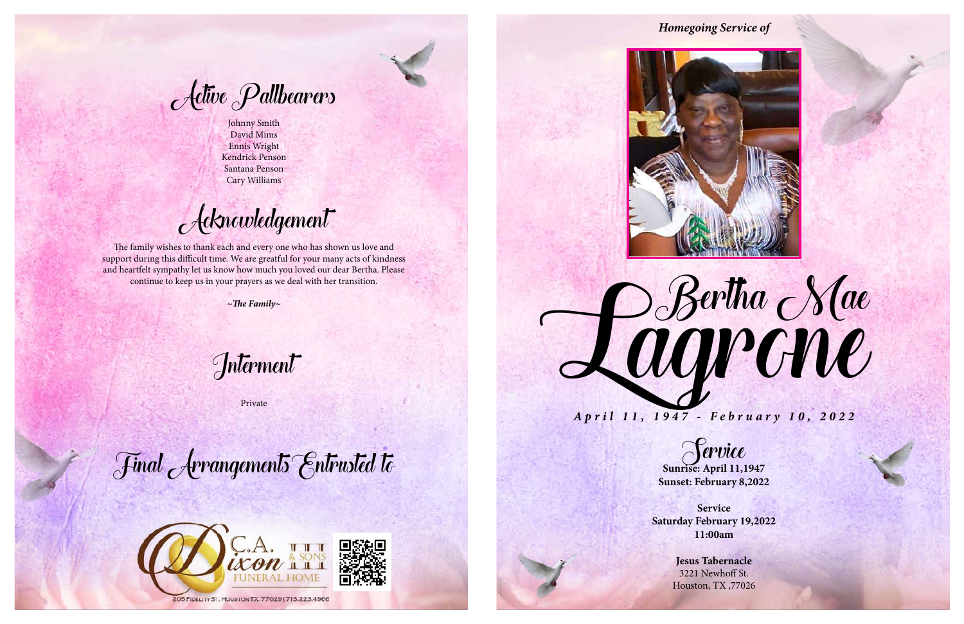Sunrise: April 11,1947 **Sunset: February 8,2022**

**Service Saturday February 19,2022 11:00am**

> **Jesus Tabernacle** 3221 Newhoff St. Houston, TX ,77026



Johnny Smith David Mims Ennis Wright Kendrick Penson Santana Penson Cary Williams

Acknowledgement

The family wishes to thank each and every one who has shown us love and support during this difficult time. We are greatful for your many acts of kindness and heartfelt sympathy let us know how much you loved our dear Bertha. Please continue to keep us in your prayers as we deal with her transition.

*~The Family~*

Interment

Private

Final Arrangements Entrusted to





## *Homegoing Service of*

*April 11, 1947 - February 10, 2022*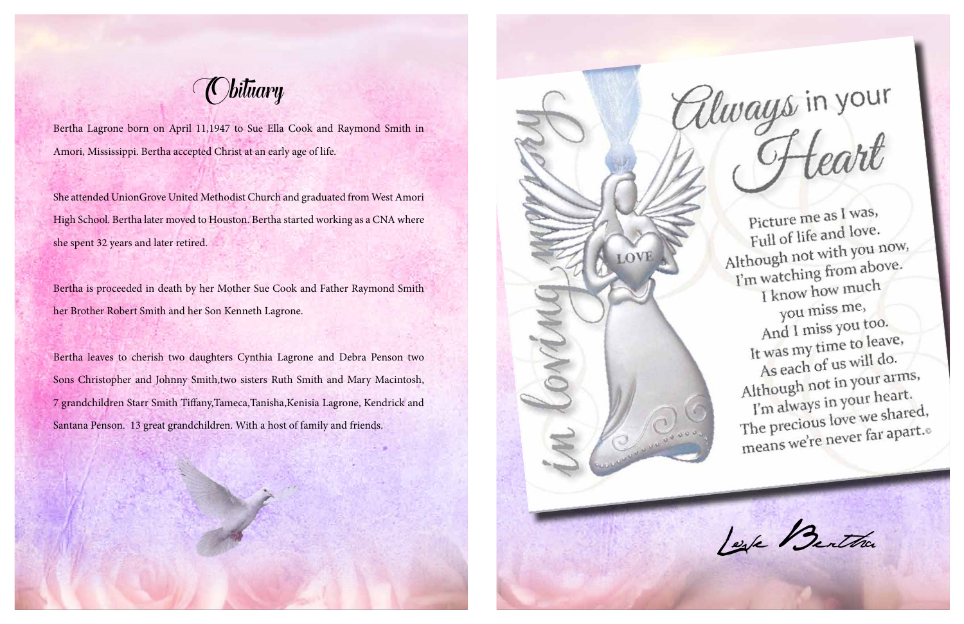*(C)bituary* 

Bertha Lagrone born on April 11,1947 to Sue Ella Cook and Raymond Smith in Amori, Mississippi. Bertha accepted Christ at an early age of life.

She attended UnionGrove United Methodist Church and graduated from West Amori High School. Bertha later moved to Houston. Bertha started working as a CNA where she spent 32 years and later retired.

Bertha is proceeded in death by her Mother Sue Cook and Father Raymond Smith her Brother Robert Smith and her Son Kenneth Lagrone.

Bertha leaves to cherish two daughters Cynthia Lagrone and Debra Penson two Sons Christopher and Johnny Smith,two sisters Ruth Smith and Mary Macintosh, 7 grandchildren Starr Smith Tiffany,Tameca,Tanisha,Kenisia Lagrone, Kendrick and Santana Penson. 13 great grandchildren. With a host of family and friends.

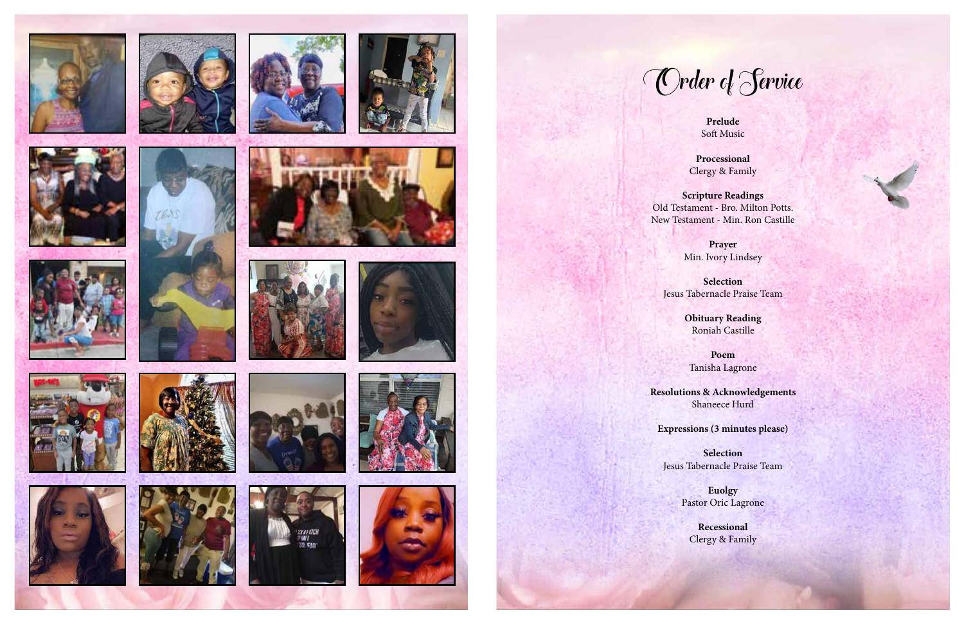**Prelude** Soft Music







































**Processional**  Clergy & Family

**Scripture Readings**  Old Testament - Bro. Milton Potts. New Testament - Min. Ron Castille

> **Prayer** Min. Ivory Lindsey

**Selection**  Jesus Tabernacle Praise Team

> **Obituary Reading** Roniah Castille

**Poem** Tanisha Lagrone

**Resolutions & Acknowledgements** Shaneece Hurd

**Expressions (3 minutes please)**

**Selection**  Jesus Tabernacle Praise Team

Order of Service

**Euolgy** Pastor Oric Lagrone

**Recessional** Clergy & Family